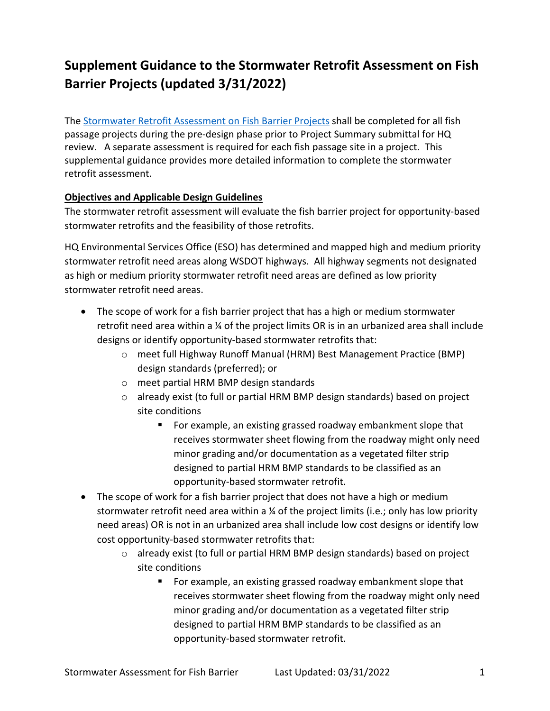# **Supplement Guidance to the Stormwater Retrofit Assessment on Fish Barrier Projects (updated 3/31/2022)**

The <u>Stormwater Retrofit Assessment on Fish Barrier Projects</u> shall be completed for all fish passage projects during the pre‐design phase prior to Project Summary submittal for HQ review. A separate assessment is required for each fish passage site in a project. This supplemental guidance provides more detailed information to complete the stormwater retrofit assessment.

## **Objectives and Applicable Design Guidelines**

 The stormwater retrofit assessment will evaluate the fish barrier project for opportunity‐based stormwater retrofits and the feasibility of those retrofits.

 HQ Environmental Services Office (ESO) has determined and mapped high and medium priority stormwater retrofit need areas along WSDOT highways. All highway segments not designated as high or medium priority stormwater retrofit need areas are defined as low priority stormwater retrofit need areas.

- The scope of work for a fish barrier project that has a high or medium stormwater retrofit need area within a ¼ of the project limits OR is in an urbanized area shall include designs or identify opportunity‐based stormwater retrofits that:
	- o meet full Highway Runoff Manual (HRM) Best Management Practice (BMP) design standards (preferred); or
	- $\circ$  meet partial HRM BMP design standards
	- $\circ$  already exist (to full or partial HRM BMP design standards) based on project site conditions
		- **For example, an existing grassed roadway embankment slope that**  receives stormwater sheet flowing from the roadway might only need minor grading and/or documentation as a vegetated filter strip designed to partial HRM BMP standards to be classified as an opportunity‐based stormwater retrofit.
- The scope of work for a fish barrier project that does not have a high or medium stormwater retrofit need area within a ¼ of the project limits (i.e.; only has low priority need areas) OR is not in an urbanized area shall include low cost designs or identify low cost opportunity‐based stormwater retrofits that:
	- $\circ$  already exist (to full or partial HRM BMP design standards) based on project site conditions
		- **For example, an existing grassed roadway embankment slope that**  receives stormwater sheet flowing from the roadway might only need minor grading and/or documentation as a vegetated filter strip designed to partial HRM BMP standards to be classified as an opportunity‐based stormwater retrofit.